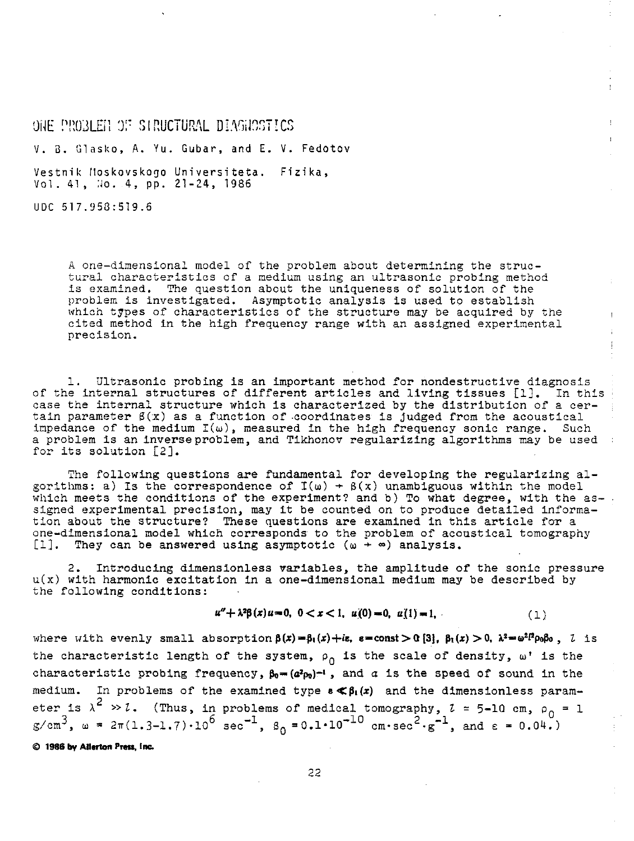$\overline{0}$  THE PROBLET OF SIRUCTURAL DIAGROSTICS v. a. Glasko, A. Yu. Gubar, and E. v. Fedotov Vestnik Hoskovskogo Universiteta. Fizika, Vol. 41, No. 4, pp. 21-24, 1986

UDC 517.953:519.6

A one-dimensional model of the problem about determining the structural characteristics of a medium using an ultrasonic probing method is examined. The question about the uniqueness of solution of the problem is investigated. Asymptotic analysis is used to establish which types of characteristics of the structure may be acquired by the cited method in the high frequency range with an assigned experimental precision.

1. Ultrasonic probing is an important method for nondestructive diagnosis of the internal structures of different articles and living tissues [1]. In this case the internal structure which is characterized by the distribution of a certain parameter  $\beta(x)$  as a function of coordinates is judged from the acoustical impedance of the medium  $I(\omega)$ , measured in the high frequency sonic range. Such a problem is an inverseproblem, and Tikhonov regularizing algorithms may be used : for its solution [2].

The following questions are fundamental for developing the regularizing algorithms: a) Is the correspondence of  $I(\omega) + \beta(x)$  unambiguous within the model which meets the conditions of the experiment? and b) To what degree, with the assigned experimental precision, may it be counted on to produce detailed information about the structure? These questions are examined in this article for a one-dimensional model which corresponds to the problem of acoustical tomography  $[1]$ . They can be answered using asymptotic  $(\omega + \infty)$  analysis. They can be answered using asymptotic ( $\omega + \infty$ ) analysis.

2. Introducing dimensionless variables, the amplitude of the sonic pressure  $u(x)$  with harmonic excitation in a one-dimensional medium may be described by the following conditions:

$$
u'' + \lambda^2 \beta(x) u = 0, \quad 0 < x < 1, \quad u(0) = 0, \quad u(1) = 1, \tag{1}
$$

where with evenly small absorption  $\beta(x) = \beta_1(x) + i\epsilon$ ,  $\epsilon = \text{const} > 0$  [3],  $\beta_1(x) > 0$ ,  $\lambda^2 = \omega^2 l^2 \rho_0 \beta_0$ , *l* is the characteristic length of the system,  $\rho_0$  is the scale of density,  $\omega^*$  is the characteristic probing frequency,  $\beta_0 = (a^2 \rho_0)^{-1}$ , and *a* is the speed of sound in the medium. In problems of the examined type  $\epsilon \ll \beta_1(x)$  and the dimensionless parameter is  $\lambda^2 \gg l$ . (Thus, in problems of medical tomography,  $l = 5-10$  cm,  $\rho_0 = 1$  $g/cm^{3}$ ,  $\omega = 2\pi(1.3-1.7)\cdot 10^{6}$  sec<sup>-1</sup>,  $B_{0} = 0.1\cdot 10^{-10}$  cm·sec<sup>2</sup>·g<sup>-1</sup>, and  $\varepsilon = 0.04$ .)

© **1986 by Allerton p,.\_ Inc.**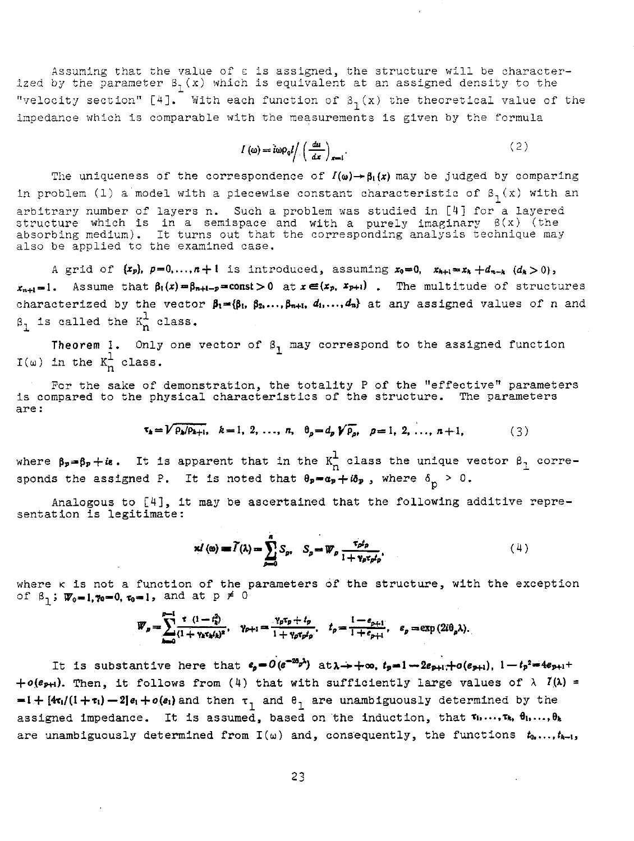Assuming that the value of  $\varepsilon$  is assigned, the structure will be characterized by the parameter  $\beta_1(x)$  which is equivalent at an assigned density to the "velocity section" [4]. With each function of  $\beta_1(x)$  the theoretical value of the impedance which is comparable with the measurements is given by the formula

$$
I(\omega) = i\omega \rho_0 I / \left(\frac{du}{dx}\right)_{x=1}.
$$
 (2)

The uniqueness of the correspondence of  $I(\omega) \rightarrow \beta_1(x)$  may be judged by comparing in problem (1) a model with a piecewise constant characteristic of  $\beta_1 (x)$  with an arbitrary number of layers n. Such a problem was studied in [4] for a layered structure which is in a semispace and with a purely imaginary  $\beta(x)$  (the absorbing medium). It turns out that the corresponding analysis technique may also be applied to the examined case.

A grid of  $\{x_p\}$ ,  $p=0,\ldots,n+1$  is introduced, assuming  $x_0=0$ ,  $x_{h+1}=x_h+d_{n-k}$   $(d_k>0)$ ,  $x_{n+1}=1$ . Assume that  $\beta_1(x)=\beta_{n+1-p}=\text{const}>0$  at  $x\in(x_p, x_{p+1})$ . The multitude of structures characterized by the vector  $\beta_1=\{\beta_1, \beta_2, ..., \beta_{n+1}, d_1, ..., d_n\}$  at any assigned values of n and  $\beta_1$  is called the  $\kappa_n^1$  class.

Theorem 1. Only one vector of  $\beta_1$  may correspond to the assigned function  $I(\omega)$  in the  $K_n^{\frac{1}{2}}$  class.

For the sake of demonstration, the totality P of the "effective" parameters is compared to the physical characteristics of the structure. The parameters **are:** 

$$
\tau_{k} = V \overline{\rho_{k}/\rho_{k+1}}, \quad k = 1, 2, ..., n, \quad \theta_{\rho} = d_{\rho} V \overline{\rho_{\rho}}, \quad \rho = 1, 2, ..., n+1,
$$
 (3)

where  $\beta_p = \beta_p + i\epsilon$ . It is apparent that in the  $K_n^L$  class the unique vector  $\beta_1$  corresponds the assigned P. It is noted that  $\theta_p = a_p + i\delta_p$ , where  $\delta_p > 0$ .

Analogous to [4], it may be ascertained that the following additive representation is legitimate:

$$
\mathbf{x}^{f}(\mathbf{a}) = \widetilde{f}(\lambda) = \sum_{p=0}^{n} S_p, \quad S_p = \overline{W}_p \frac{\tau_p t_p}{1 + \gamma_p \tau_p t_p}, \tag{4}
$$

 $xI(\omega) = \tilde{I}(\lambda) = \sum_{p=0}^{n} S_p$ ,  $S_p = \overline{W}_p \frac{\tau_p t_p}{1 + \gamma_p \tau_p t_p}$ , (4)<br>where k is not a function of the parameters of the structure, with the exception<br>of  $\beta$ , :  $\overline{W}_p = 1$ ,  $\gamma_p = 0$ ,  $\tau_p = 1$ , and at  $p \neq 0$ of  $\beta_1$ ;  $\mathbf{W}_0 = 1$ ,  $\gamma_0 = 0$ ,  $\tau_0 = 1$ , and at  $p \neq 0$ 

$$
\overline{W}_p = \sum_{k=0}^{\infty} \frac{t^{-(1-t_k^2)}}{(1+\gamma_k\epsilon_k t_k)^2}, \quad \gamma_{p+1} = \frac{\gamma_p\tau_p + t_p}{1+\gamma_p\tau_p t_p}, \quad t_p = \frac{1-\epsilon_{p+1}}{1+\epsilon_{p+1}}, \quad \epsilon_p = \exp{(2i\theta_p\lambda)}.
$$

It is substantive here that  $e_a = O(e^{-2\theta_b\lambda})$  at $\lambda \rightarrow +\infty$ ,  $t_a = 1-2e_{\rho+1}+o(e_{\rho+1})$ ,  $1-t_p^2 = 4e_{\rho+1}+$  $+o(e_{P+1})$ . Then, it follows from (4) that with sufficiently large values of  $\lambda$   $I(\lambda)$  =  $-1+[4\tau_1/(1+\tau_1)-2]e_1+o(e_1)$  and then  $\tau_1$  and  $\theta_1$  are unambiguously determined by the assigned impedance. It is assumed, based on the induction, that  $\tau_1, \ldots, \tau_k$ ,  $\theta_1, \ldots, \theta_k$ are unambiguously determined from  $I(\omega)$  and, consequently, the functions  $t_0, \ldots, t_{k-1}$ ,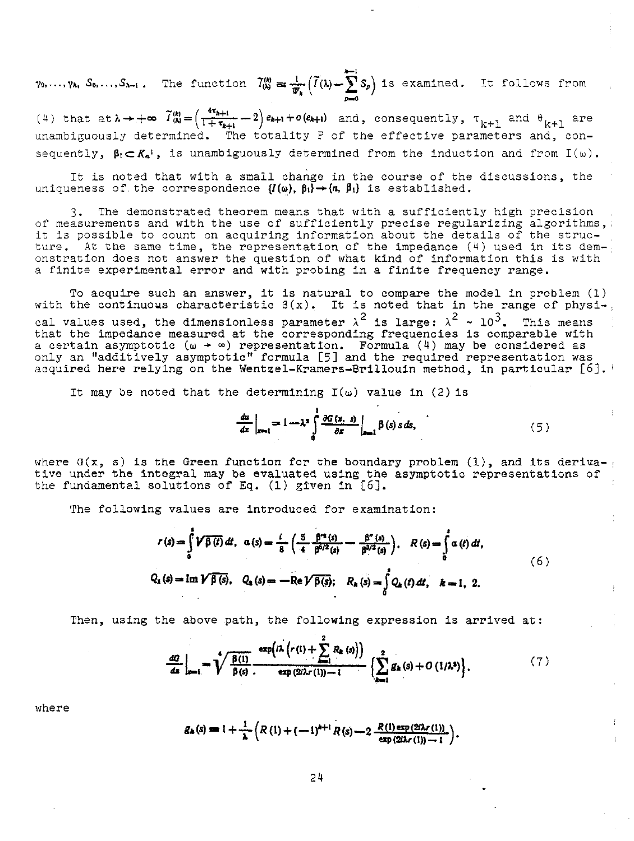$^{i-1}$  $\gamma_0, \ldots, \gamma_k$ ,  $S_0, \ldots, S_{k-1}$ . The function  $\widetilde{T}_{(k)}^{(k)} = \frac{1}{\psi_k} \left( \widetilde{I}(k) - \sum_{i=1}^{k} S_p \right)$  is examined. It follows from

(4) that  $at\lambda \rightarrow +\infty$   $\widetilde{I}_{(\lambda)}^{(k)} = \left(\frac{4\tau_{k+1}}{1+\tau_{k+1}}-2\right)e_{k+1}+o(e_{k+1})$  and, consequently,  $\tau_{k+1}$  and  $\theta_{k+1}$  are unambiguously determined. The totality P of the effective parameters and, consequently,  $\beta_1 \subset K_{\alpha}$ <sup>1</sup>, is unambiguously determined from the induction and from  $I(\omega)$ .

It is noted that with a small change in the course of the discussions, the uniqueness of the correspondence  $\{I(\omega), \beta_1\} \rightarrow \{n, \beta_1\}$  is established.

3. The demonstrated theorem means that with a sufficiently high precision of measurements and with the use of sufficiently precise regularizing algorithms,, it is possible to count on acquiring information about the details of the structure. At the same time, the representation of the impedance (4) used in its demonstration does not answer the question of what kind of information this is with a finite experimental error and with probing in a finite frequency range.

To acquire such an answer, it is natural to compare the model in problem (1) with the continuous characteristic  $\beta(x)$ . It is noted that in the range of physi-. cal values used, the dimensionless parameter  $\lambda^2$  is large:  $\lambda^2 \sim 10^3$ . This means that the impedance measured at the corresponding frequencies is comparable with a certain asymptotic ( $\omega$  +  $\infty$ ) representation. Formula (4) may be considered as only an "additively asymptotic" formula [5] and the required representation was acquired here relying on the Wentzel-Kramers-Brillouin method, in particular [6].

It may be noted that the determining  $I(\omega)$  value in (2) is

$$
\frac{du}{dx}\bigg|_{x=1} = 1 - \lambda^2 \int_0^1 \frac{\partial G(x, s)}{\partial x} \bigg|_{x=1} \beta(s) s ds,
$$
\n(5)

where  $G(x, s)$  is the Green function for the boundary problem (1), and its derivative under the integral may be evaluated using the asymptotic representations of the fundamental solutions of Eq. (1) given in [6].

The following values are introduced for examination:

ng values are introduced for examination:  
\n
$$
r(s) = \int_{0}^{t} \sqrt{\beta(t)} dt, \ \alpha(s) = \frac{i}{8} \left( \frac{5}{4} \frac{\beta^{s}(s)}{\beta^{6/2}(s)} - \frac{\beta^{s}(s)}{\beta^{3/2}(s)} \right), \ \ R(s) = \int_{0}^{s} \alpha(t) dt,
$$
\n(6)  
\n
$$
Q_1(s) = \operatorname{Im} \sqrt{\beta(s)}, \ \ Q_s(s) = -\operatorname{Re} \sqrt{\beta(s)}; \ \ R_s(s) = \int_{0}^{s} Q_s(t) dt, \ \ k = 1, 2.
$$

Then, using the above path, the following expression is arrived at:  
\n
$$
\frac{dG}{ds}\Big|_{s=1} = \sqrt{\frac{\beta(1)}{\beta(s)}} \frac{\exp\left(n\left(r(1) + \sum_{i=1}^{2} R_{i}(s)\right)\right)}{\exp\left(2\lambda r(1)\right) - 1} \left\{\sum_{i=1}^{2} g_{i}(s) + O\left(1/\lambda^{2}\right)\right\}}.
$$
\n(7)

where

$$
g_k(s) = 1 + \frac{1}{\lambda} \left( R\left(1\right) + \left(-1\right)^{k+1} R\left(s\right) - 2 \frac{R\left(1\right) \exp\left(2i\lambda r\left(1\right)\right)}{\exp\left(2i\lambda r\left(1\right)\right) - 1} \right).
$$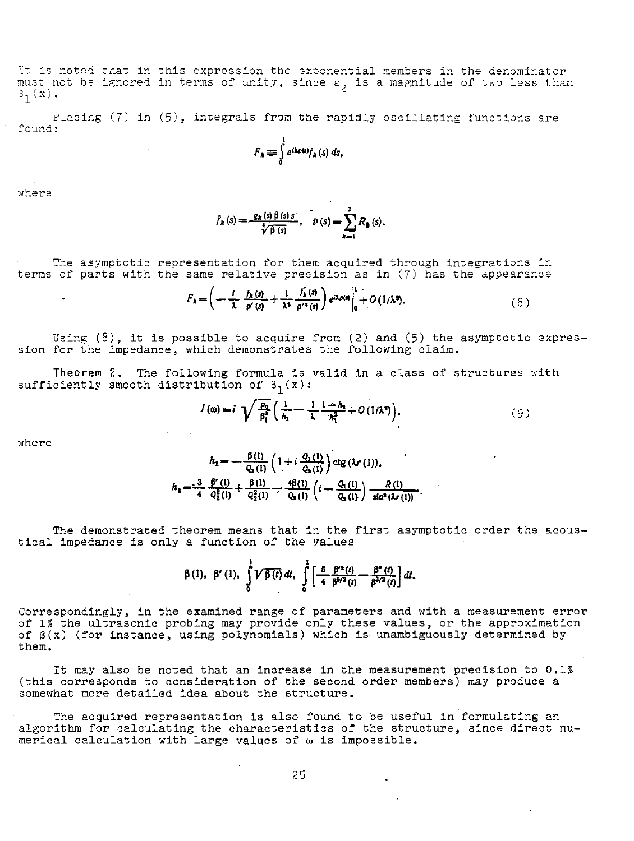It is noted that in this expression the exponential members in the denominator must not be ignored in terms of unity, since  $\epsilon_2$  is a magnitude of two less than  $\beta_1(x)$ .

Placing (7) in (5), integrals from the rapidly oscillating functions are found:

$$
F_k \equiv \int\limits_0^t e^{i\lambda \rho(s)} f_k(s) \, ds,
$$

where

 $\bullet$ 

$$
\tilde{f}_k(s) = \frac{g_k(s)\beta(s)s}{\sqrt[4]{\beta(s)}}, \quad \rho(s) = \sum_{k=1}^2 R_k(s).
$$

The asymptotic representation for them acquired through integrations in terms of parts with the same relative precision as in (7) has the appearance

$$
F_{\mathbf{A}} = \left(-\frac{i}{\lambda} \frac{f_{\mathbf{A}}(s)}{p'(s)} + \frac{1}{\lambda^2} \frac{f_{\mathbf{A}}(s)}{p'^4(s)}\right) e^{i\lambda p(s)} \Big|_0^1 + O(1/\lambda^3). \tag{8}
$$

Using  $(8)$ , it is possible to acquire from  $(2)$  and  $(5)$  the asymptotic expression for the impedance, which demonstrates the following claim.

Theorem 2. The following formula is valid in a class of structures with sufficiently smooth distribution of  $\beta_1(x)$ :

$$
I(\omega) = i \sqrt{\frac{\rho_0}{\beta_1^0}} \left( \frac{1}{h_1} - \frac{1}{\lambda} \frac{1 - h_2}{h_1^2} + O\left(\frac{1}{\lambda^2}\right) \right), \tag{9}
$$

where

$$
h_1 = -\frac{\beta(1)}{Q_2(1)} \left(1 + i \frac{Q_1(1)}{Q_2(1)}\right) \text{ctg} \left(\lambda r\left(1\right)\right),
$$
\n
$$
h_2 = \frac{3}{4} \frac{\beta'(1)}{Q_2^2(1)} + \frac{\beta(1)}{Q_2^2(1)} - \frac{4\beta(1)}{Q_2(1)} \left(i - \frac{Q_1(1)}{Q_2(1)}\right) \frac{R(1)}{\sin^2\left(\lambda r\left(1\right)\right)}.
$$

The demonstrated theorem means that in the first asymptotic order the acoustical impedance is only a function of the values

$$
\beta(1), \ \beta'(1), \ \int\limits_{0}^{1} \mathcal{V} \overline{\beta(t)} dt, \ \int\limits_{0}^{1} \left[ \frac{5}{4} \frac{\beta'^{2}(t)}{\beta^{5/2}(t)} - \frac{\beta''(t)}{\beta^{3/2}(t)} \right] dt.
$$

Correspondingly, in the examined range of parameters and with a measurement error of 1% the ultrasonic probing may provide only these values, or the approximation<br>of  $\beta(x)$  (for instance, using polynomials) which is unambiguously determined by them.

It may also be noted that an increase in the measurement precision to 0.1% (this corresponds to consideration of the second order members) may produce a somewhat more detailed idea about the structure.

The acquired representation is also found to be useful in formulating an algorithm for calculating the characteristics of the structure, since direct numerical calculation with large values of w is impossible.